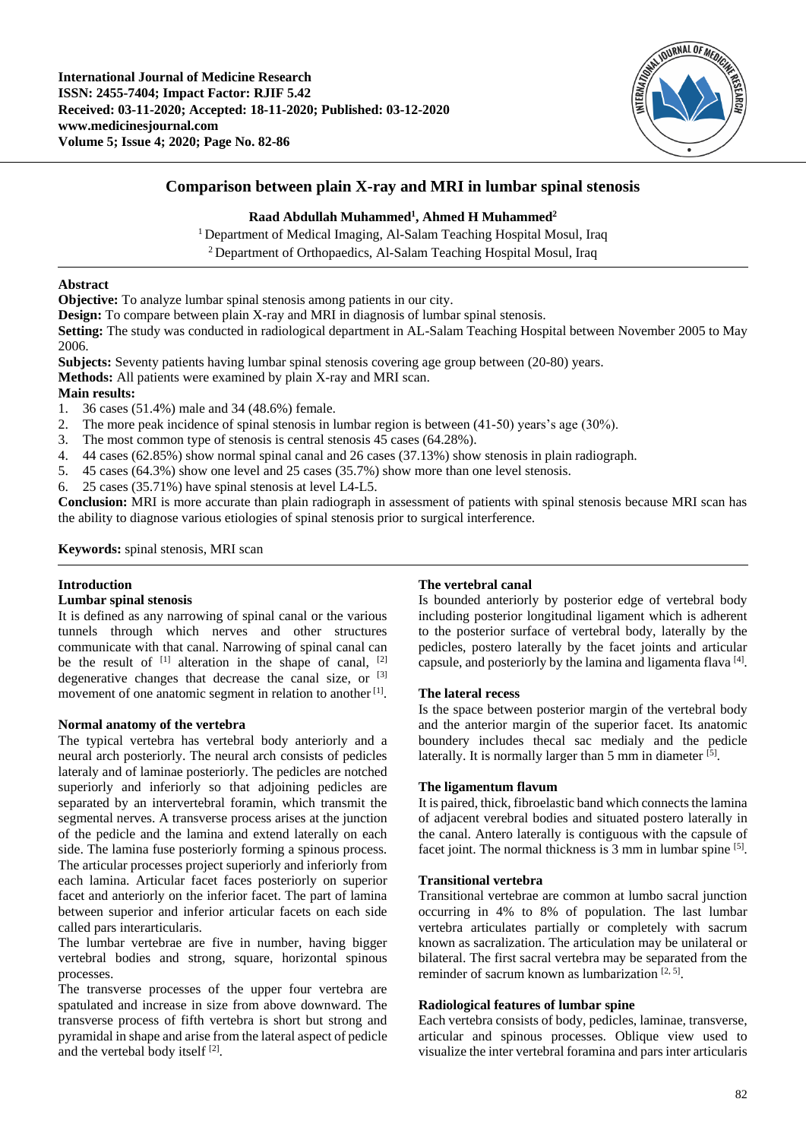

# **Comparison between plain X-ray and MRI in lumbar spinal stenosis**

### **Raad Abdullah Muhammed<sup>1</sup> , Ahmed H Muhammed<sup>2</sup>**

<sup>1</sup> Department of Medical Imaging, Al-Salam Teaching Hospital Mosul, Iraq <sup>2</sup>Department of Orthopaedics, Al-Salam Teaching Hospital Mosul, Iraq

## **Abstract**

**Objective:** To analyze lumbar spinal stenosis among patients in our city.

**Design:** To compare between plain X-ray and MRI in diagnosis of lumbar spinal stenosis.

**Setting:** The study was conducted in radiological department in AL-Salam Teaching Hospital between November 2005 to May 2006.

**Subjects:** Seventy patients having lumbar spinal stenosis covering age group between (20-80) years.

**Methods:** All patients were examined by plain X-ray and MRI scan.

## **Main results:**

- 1. 36 cases (51.4%) male and 34 (48.6%) female.
- 2. The more peak incidence of spinal stenosis in lumbar region is between (41-50) years's age (30%).<br>3. The most common type of stenosis is central stenosis 45 cases (64.28%).
- The most common type of stenosis is central stenosis 45 cases (64.28%).
- 4. 44 cases (62.85%) show normal spinal canal and 26 cases (37.13%) show stenosis in plain radiograph.
- 5. 45 cases (64.3%) show one level and 25 cases (35.7%) show more than one level stenosis.
- 6. 25 cases (35.71%) have spinal stenosis at level L4-L5.

**Conclusion:** MRI is more accurate than plain radiograph in assessment of patients with spinal stenosis because MRI scan has the ability to diagnose various etiologies of spinal stenosis prior to surgical interference.

**Keywords:** spinal stenosis, MRI scan

## **Introduction**

#### **Lumbar spinal stenosis**

It is defined as any narrowing of spinal canal or the various tunnels through which nerves and other structures communicate with that canal. Narrowing of spinal canal can be the result of  $[1]$  alteration in the shape of canal,  $[2]$ degenerative changes that decrease the canal size, or <sup>[3]</sup> movement of one anatomic segment in relation to another<sup>[1]</sup>.

#### **Normal anatomy of the vertebra**

The typical vertebra has vertebral body anteriorly and a neural arch posteriorly. The neural arch consists of pedicles lateraly and of laminae posteriorly. The pedicles are notched superiorly and inferiorly so that adjoining pedicles are separated by an intervertebral foramin, which transmit the segmental nerves. A transverse process arises at the junction of the pedicle and the lamina and extend laterally on each side. The lamina fuse posteriorly forming a spinous process. The articular processes project superiorly and inferiorly from each lamina. Articular facet faces posteriorly on superior facet and anteriorly on the inferior facet. The part of lamina between superior and inferior articular facets on each side called pars interarticularis.

The lumbar vertebrae are five in number, having bigger vertebral bodies and strong, square, horizontal spinous processes.

The transverse processes of the upper four vertebra are spatulated and increase in size from above downward. The transverse process of fifth vertebra is short but strong and pyramidal in shape and arise from the lateral aspect of pedicle and the vertebal body itself<sup>[2]</sup>.

#### **The vertebral canal**

Is bounded anteriorly by posterior edge of vertebral body including posterior longitudinal ligament which is adherent to the posterior surface of vertebral body, laterally by the pedicles, postero laterally by the facet joints and articular capsule, and posteriorly by the lamina and ligamenta flava [4].

#### **The lateral recess**

Is the space between posterior margin of the vertebral body and the anterior margin of the superior facet. Its anatomic boundery includes thecal sac medialy and the pedicle laterally. It is normally larger than 5 mm in diameter [5].

#### **The ligamentum flavum**

It is paired, thick, fibroelastic band which connects the lamina of adjacent verebral bodies and situated postero laterally in the canal. Antero laterally is contiguous with the capsule of facet joint. The normal thickness is 3 mm in lumbar spine [5].

#### **Transitional vertebra**

Transitional vertebrae are common at lumbo sacral junction occurring in 4% to 8% of population. The last lumbar vertebra articulates partially or completely with sacrum known as sacralization. The articulation may be unilateral or bilateral. The first sacral vertebra may be separated from the reminder of sacrum known as lumbarization  $[2, 5]$ .

## **Radiological features of lumbar spine**

Each vertebra consists of body, pedicles, laminae, transverse, articular and spinous processes. Oblique view used to visualize the inter vertebral foramina and pars inter articularis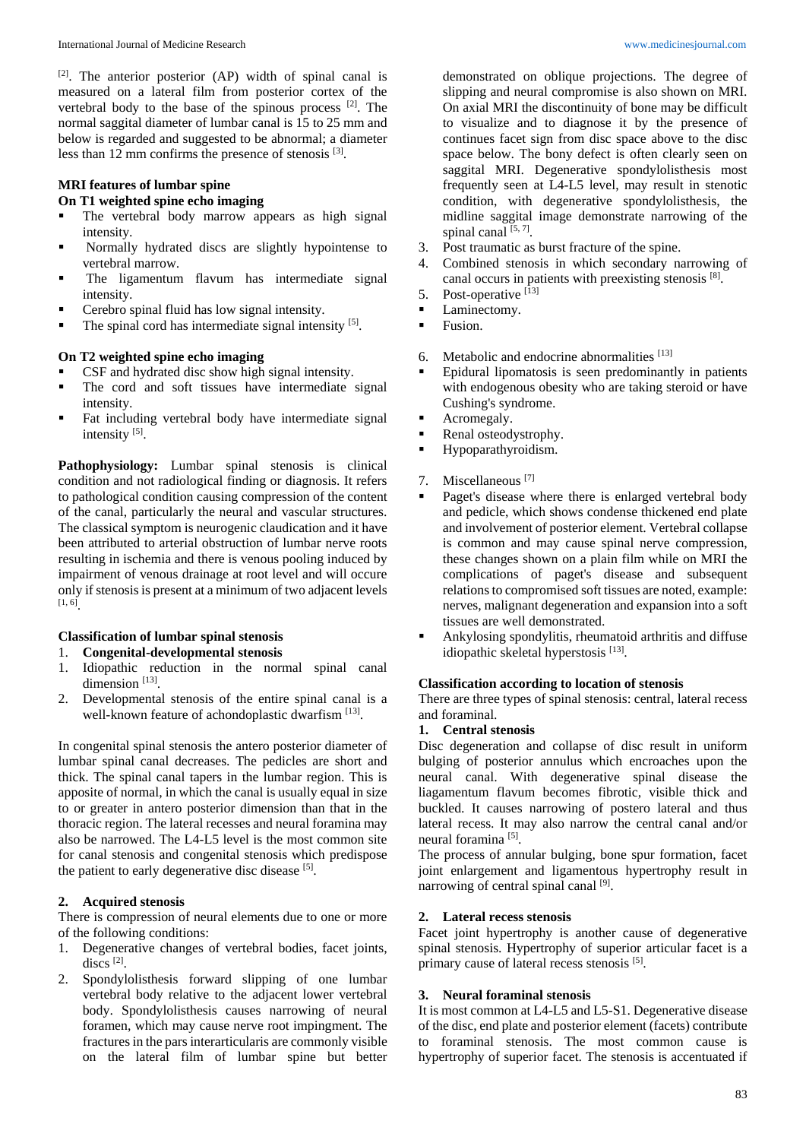[2] . The anterior posterior (AP) width of spinal canal is measured on a lateral film from posterior cortex of the vertebral body to the base of the spinous process [2]. The normal saggital diameter of lumbar canal is 15 to 25 mm and below is regarded and suggested to be abnormal; a diameter less than 12 mm confirms the presence of stenosis <sup>[3]</sup>.

## **MRI features of lumbar spine**

## **On T1 weighted spine echo imaging**

- **The vertebral body marrow appears as high signal** intensity.
- Normally hydrated discs are slightly hypointense to vertebral marrow.
- The ligamentum flavum has intermediate signal intensity.
- Cerebro spinal fluid has low signal intensity.
- $\blacksquare$  The spinal cord has intermediate signal intensity [5].

## **On T2 weighted spine echo imaging**

- CSF and hydrated disc show high signal intensity.
- The cord and soft tissues have intermediate signal intensity.
- Fat including vertebral body have intermediate signal intensity<sup>[5]</sup>.

Pathophysiology: Lumbar spinal stenosis is clinical condition and not radiological finding or diagnosis. It refers to pathological condition causing compression of the content of the canal, particularly the neural and vascular structures. The classical symptom is neurogenic claudication and it have been attributed to arterial obstruction of lumbar nerve roots resulting in ischemia and there is venous pooling induced by impairment of venous drainage at root level and will occure only if stenosis is present at a minimum of two adjacent levels [1, 6] .

# **Classification of lumbar spinal stenosis**

- 1. **Congenital-developmental stenosis**
- 1. Idiopathic reduction in the normal spinal canal dimension<sup>[13]</sup>.
- 2. Developmental stenosis of the entire spinal canal is a well-known feature of achondoplastic dwarfism [13].

In congenital spinal stenosis the antero posterior diameter of lumbar spinal canal decreases. The pedicles are short and thick. The spinal canal tapers in the lumbar region. This is apposite of normal, in which the canal is usually equal in size to or greater in antero posterior dimension than that in the thoracic region. The lateral recesses and neural foramina may also be narrowed. The L4-L5 level is the most common site for canal stenosis and congenital stenosis which predispose the patient to early degenerative disc disease  $[5]$ .

## **2. Acquired stenosis**

There is compression of neural elements due to one or more of the following conditions:

- 1. Degenerative changes of vertebral bodies, facet joints, discs<sup>[2]</sup>.
- 2. Spondylolisthesis forward slipping of one lumbar vertebral body relative to the adjacent lower vertebral body. Spondylolisthesis causes narrowing of neural foramen, which may cause nerve root impingment. The fractures in the pars interarticularis are commonly visible on the lateral film of lumbar spine but better

demonstrated on oblique projections. The degree of slipping and neural compromise is also shown on MRI. On axial MRI the discontinuity of bone may be difficult to visualize and to diagnose it by the presence of continues facet sign from disc space above to the disc space below. The bony defect is often clearly seen on saggital MRI. Degenerative spondylolisthesis most frequently seen at L4-L5 level, may result in stenotic condition, with degenerative spondylolisthesis, the midline saggital image demonstrate narrowing of the spinal canal [5,7].

- 3. Post traumatic as burst fracture of the spine.
- 4. Combined stenosis in which secondary narrowing of canal occurs in patients with preexisting stenosis [8].
- 5. Post-operative [13]
- Laminectomy.
- Fusion.
- 6. Metabolic and endocrine abnormalities [13]
- Epidural lipomatosis is seen predominantly in patients with endogenous obesity who are taking steroid or have Cushing's syndrome.
- Acromegaly.
- Renal osteodystrophy.
- **Hypoparathyroidism.**
- 7. Miscellaneous [7]
- Paget's disease where there is enlarged vertebral body and pedicle, which shows condense thickened end plate and involvement of posterior element. Vertebral collapse is common and may cause spinal nerve compression, these changes shown on a plain film while on MRI the complications of paget's disease and subsequent relations to compromised soft tissues are noted, example: nerves, malignant degeneration and expansion into a soft tissues are well demonstrated.
- Ankylosing spondylitis, rheumatoid arthritis and diffuse idiopathic skeletal hyperstosis<sup>[13]</sup>.

## **Classification according to location of stenosis**

There are three types of spinal stenosis: central, lateral recess and foraminal.

## **1. Central stenosis**

Disc degeneration and collapse of disc result in uniform bulging of posterior annulus which encroaches upon the neural canal. With degenerative spinal disease the liagamentum flavum becomes fibrotic, visible thick and buckled. It causes narrowing of postero lateral and thus lateral recess. It may also narrow the central canal and/or neural foramina<sup>[5]</sup>.

The process of annular bulging, bone spur formation, facet joint enlargement and ligamentous hypertrophy result in narrowing of central spinal canal [9].

## **2. Lateral recess stenosis**

Facet joint hypertrophy is another cause of degenerative spinal stenosis. Hypertrophy of superior articular facet is a primary cause of lateral recess stenosis [5].

## **3. Neural foraminal stenosis**

It is most common at L4-L5 and L5-S1. Degenerative disease of the disc, end plate and posterior element (facets) contribute to foraminal stenosis. The most common cause is hypertrophy of superior facet. The stenosis is accentuated if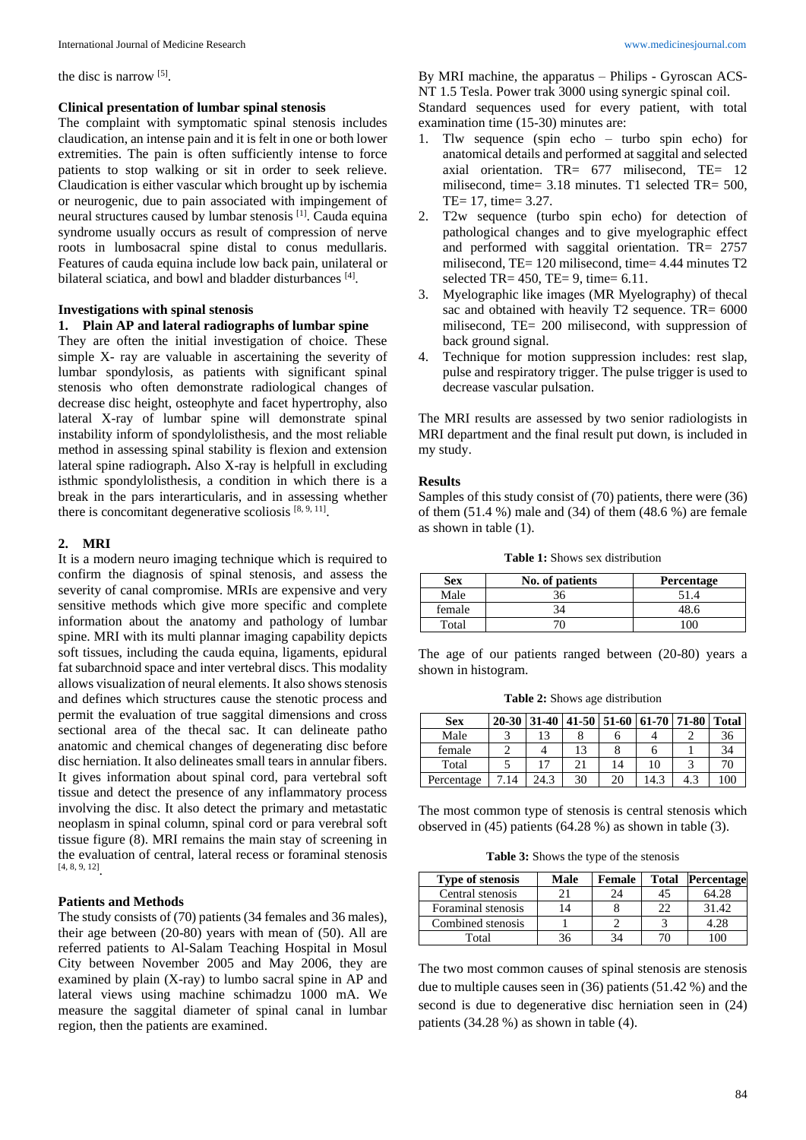the disc is narrow [5].

#### **Clinical presentation of lumbar spinal stenosis**

The complaint with symptomatic spinal stenosis includes claudication, an intense pain and it is felt in one or both lower extremities. The pain is often sufficiently intense to force patients to stop walking or sit in order to seek relieve. Claudication is either vascular which brought up by ischemia or neurogenic, due to pain associated with impingement of neural structures caused by lumbar stenosis<sup>[1]</sup>. Cauda equina syndrome usually occurs as result of compression of nerve roots in lumbosacral spine distal to conus medullaris. Features of cauda equina include low back pain, unilateral or bilateral sciatica, and bowl and bladder disturbances<sup>[4]</sup>.

#### **Investigations with spinal stenosis**

#### **1. Plain AP and lateral radiographs of lumbar spine**

They are often the initial investigation of choice. These simple X- ray are valuable in ascertaining the severity of lumbar spondylosis, as patients with significant spinal stenosis who often demonstrate radiological changes of decrease disc height, osteophyte and facet hypertrophy, also lateral X-ray of lumbar spine will demonstrate spinal instability inform of spondylolisthesis, and the most reliable method in assessing spinal stability is flexion and extension lateral spine radiograph**.** Also X-ray is helpfull in excluding isthmic spondylolisthesis, a condition in which there is a break in the pars interarticularis, and in assessing whether there is concomitant degenerative scoliosis  $[8, 9, 11]$ .

#### **2. MRI**

It is a modern neuro imaging technique which is required to confirm the diagnosis of spinal stenosis, and assess the severity of canal compromise. MRIs are expensive and very sensitive methods which give more specific and complete information about the anatomy and pathology of lumbar spine. MRI with its multi plannar imaging capability depicts soft tissues, including the cauda equina, ligaments, epidural fat subarchnoid space and inter vertebral discs. This modality allows visualization of neural elements. It also shows stenosis and defines which structures cause the stenotic process and permit the evaluation of true saggital dimensions and cross sectional area of the thecal sac. It can delineate patho anatomic and chemical changes of degenerating disc before disc herniation. It also delineates small tears in annular fibers. It gives information about spinal cord, para vertebral soft tissue and detect the presence of any inflammatory process involving the disc. It also detect the primary and metastatic neoplasm in spinal column, spinal cord or para verebral soft tissue figure (8). MRI remains the main stay of screening in the evaluation of central, lateral recess or foraminal stenosis [4, 8, 9, 12] .

## **Patients and Methods**

The study consists of (70) patients (34 females and 36 males), their age between (20-80) years with mean of (50). All are referred patients to Al-Salam Teaching Hospital in Mosul City between November 2005 and May 2006, they are examined by plain (X-ray) to lumbo sacral spine in AP and lateral views using machine schimadzu 1000 mA. We measure the saggital diameter of spinal canal in lumbar region, then the patients are examined.

By MRI machine, the apparatus – Philips - Gyroscan ACS-NT 1.5 Tesla. Power trak 3000 using synergic spinal coil.

Standard sequences used for every patient, with total examination time (15-30) minutes are:

- 1. Tlw sequence (spin echo turbo spin echo) for anatomical details and performed at saggital and selected axial orientation. TR= 677 milisecond, TE= 12 milisecond, time= 3.18 minutes. T1 selected TR= 500, TE= 17, time= 3.27.
- 2. T2w sequence (turbo spin echo) for detection of pathological changes and to give myelographic effect and performed with saggital orientation. TR= 2757 milisecond, TE= 120 milisecond, time= 4.44 minutes T2 selected TR=  $450$ , TE=  $9$ , time=  $6.11$ .
- 3. Myelographic like images (MR Myelography) of thecal sac and obtained with heavily T2 sequence. TR= 6000 milisecond, TE= 200 milisecond, with suppression of back ground signal.
- Technique for motion suppression includes: rest slap, pulse and respiratory trigger. The pulse trigger is used to decrease vascular pulsation.

The MRI results are assessed by two senior radiologists in MRI department and the final result put down, is included in my study.

#### **Results**

Samples of this study consist of (70) patients, there were (36) of them (51.4 %) male and (34) of them (48.6 %) are female as shown in table (1).

| <b>Table 1:</b> Shows sex distribution |
|----------------------------------------|
|----------------------------------------|

| <b>Sex</b> | No. of patients | Percentage |
|------------|-----------------|------------|
| Male       |                 | 51.4       |
| female     | 34              |            |
| Total      |                 |            |

The age of our patients ranged between (20-80) years a shown in histogram.

**Table 2:** Shows age distribution

| <b>Sex</b> |    |      |    |    | 20-30 31-40 41-50 51-60 61-70 71-80 | <b>Total</b> |
|------------|----|------|----|----|-------------------------------------|--------------|
| Male       |    |      |    |    |                                     | 36           |
| female     |    |      |    |    |                                     | 34           |
| Total      |    |      |    | 14 | 10                                  | 70           |
| Percentage | 14 | 24.3 | 30 | 20 | 14.3                                | 100          |

The most common type of stenosis is central stenosis which observed in (45) patients (64.28 %) as shown in table (3).

**Table 3:** Shows the type of the stenosis

| <b>Type of stenosis</b> | <b>Male</b> | <b>Female</b> | <b>Total</b> | Percentage |
|-------------------------|-------------|---------------|--------------|------------|
| Central stenosis        |             | 9Δ            |              | 64.28      |
| Foraminal stenosis      |             |               | つつ           | 31.42      |
| Combined stenosis       |             |               |              | 4.28       |
| Total                   |             |               |              |            |

The two most common causes of spinal stenosis are stenosis due to multiple causes seen in (36) patients (51.42 %) and the second is due to degenerative disc herniation seen in (24) patients (34.28 %) as shown in table (4).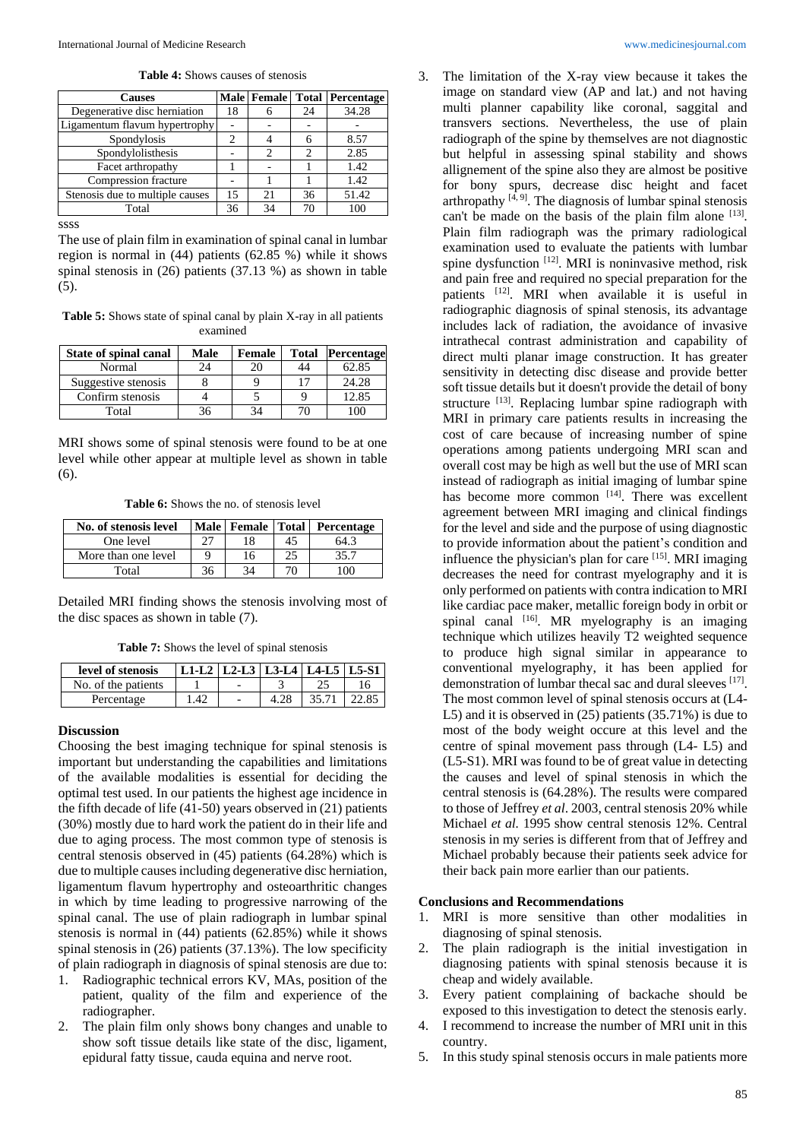**Table 4:** Shows causes of stenosis

| <b>Causes</b>                   |    |    |    | Male   Female   Total   Percentage |
|---------------------------------|----|----|----|------------------------------------|
| Degenerative disc herniation    | 18 | h  | 24 | 34.28                              |
| Ligamentum flavum hypertrophy   |    |    |    |                                    |
| Spondylosis                     | 2  |    |    | 8.57                               |
| Spondylolisthesis               |    | 2  |    | 2.85                               |
| Facet arthropathy               |    |    |    | 1.42                               |
| Compression fracture            |    |    |    | 1.42                               |
| Stenosis due to multiple causes | 15 | 21 | 36 | 51.42                              |
| Total                           | 36 | 34 | 70 | 100                                |

ssss

The use of plain film in examination of spinal canal in lumbar region is normal in (44) patients (62.85 %) while it shows spinal stenosis in (26) patients (37.13 %) as shown in table (5).

**Table 5:** Shows state of spinal canal by plain X-ray in all patients examined

| <b>State of spinal canal</b> | Male | Female | Total | <b>Percentage</b> |
|------------------------------|------|--------|-------|-------------------|
| Normal                       |      |        | 44    | 62.85             |
| Suggestive stenosis          |      |        | 17    | 24.28             |
| Confirm stenosis             |      |        |       | 12.85             |
| Total                        |      |        |       |                   |

MRI shows some of spinal stenosis were found to be at one level while other appear at multiple level as shown in table (6).

**Table 6:** Shows the no. of stenosis level

| No. of stenosis level |     |    | Male   Female   Total   Percentage |
|-----------------------|-----|----|------------------------------------|
| One level             |     |    | 64.3                               |
| More than one level   |     | 16 | 35.7                               |
| Total                 | 36. |    | ' ററ                               |

Detailed MRI finding shows the stenosis involving most of the disc spaces as shown in table (7).

**Table 7:** Shows the level of spinal stenosis

| level of stenosis   | L1-L2   L2-L3   L3-L4   L4-L5   L5-S1 |  |       |  |
|---------------------|---------------------------------------|--|-------|--|
| No. of the patients |                                       |  |       |  |
| Percentage          | 42                                    |  | 35.71 |  |

#### **Discussion**

Choosing the best imaging technique for spinal stenosis is important but understanding the capabilities and limitations of the available modalities is essential for deciding the optimal test used. In our patients the highest age incidence in the fifth decade of life (41-50) years observed in (21) patients (30%) mostly due to hard work the patient do in their life and due to aging process. The most common type of stenosis is central stenosis observed in (45) patients (64.28%) which is due to multiple causes including degenerative disc herniation, ligamentum flavum hypertrophy and osteoarthritic changes in which by time leading to progressive narrowing of the spinal canal. The use of plain radiograph in lumbar spinal stenosis is normal in (44) patients (62.85%) while it shows spinal stenosis in (26) patients (37.13%). The low specificity of plain radiograph in diagnosis of spinal stenosis are due to:

- 1. Radiographic technical errors KV, MAs, position of the patient, quality of the film and experience of the radiographer.
- 2. The plain film only shows bony changes and unable to show soft tissue details like state of the disc, ligament, epidural fatty tissue, cauda equina and nerve root.

3. The limitation of the X-ray view because it takes the image on standard view (AP and lat.) and not having multi planner capability like coronal, saggital and transvers sections. Nevertheless, the use of plain radiograph of the spine by themselves are not diagnostic but helpful in assessing spinal stability and shows allignement of the spine also they are almost be positive for bony spurs, decrease disc height and facet arthropathy  $[4, 9]$ . The diagnosis of lumbar spinal stenosis can't be made on the basis of the plain film alone  $[13]$ . Plain film radiograph was the primary radiological examination used to evaluate the patients with lumbar spine dysfunction [12]. MRI is noninvasive method, risk and pain free and required no special preparation for the patients [12]. MRI when available it is useful in radiographic diagnosis of spinal stenosis, its advantage includes lack of radiation, the avoidance of invasive intrathecal contrast administration and capability of direct multi planar image construction. It has greater sensitivity in detecting disc disease and provide better soft tissue details but it doesn't provide the detail of bony structure [13]. Replacing lumbar spine radiograph with MRI in primary care patients results in increasing the cost of care because of increasing number of spine operations among patients undergoing MRI scan and overall cost may be high as well but the use of MRI scan instead of radiograph as initial imaging of lumbar spine has become more common  $[14]$ . There was excellent agreement between MRI imaging and clinical findings for the level and side and the purpose of using diagnostic to provide information about the patient's condition and influence the physician's plan for care [15] . MRI imaging decreases the need for contrast myelography and it is only performed on patients with contra indication to MRI like cardiac pace maker, metallic foreign body in orbit or spinal canal  $[16]$ . MR myelography is an imaging technique which utilizes heavily T2 weighted sequence to produce high signal similar in appearance to conventional myelography, it has been applied for demonstration of lumbar thecal sac and dural sleeves [17] . The most common level of spinal stenosis occurs at (L4- L5) and it is observed in (25) patients (35.71%) is due to most of the body weight occure at this level and the centre of spinal movement pass through (L4- L5) and (L5-S1). MRI was found to be of great value in detecting the causes and level of spinal stenosis in which the central stenosis is (64.28%). The results were compared to those of Jeffrey *et al*. 2003, central stenosis 20% while Michael *et al.* 1995 show central stenosis 12%. Central stenosis in my series is different from that of Jeffrey and Michael probably because their patients seek advice for their back pain more earlier than our patients.

#### **Conclusions and Recommendations**

- 1. MRI is more sensitive than other modalities in diagnosing of spinal stenosis.
- 2. The plain radiograph is the initial investigation in diagnosing patients with spinal stenosis because it is cheap and widely available.
- 3. Every patient complaining of backache should be exposed to this investigation to detect the stenosis early.
- 4. I recommend to increase the number of MRI unit in this country.
- 5. In this study spinal stenosis occurs in male patients more